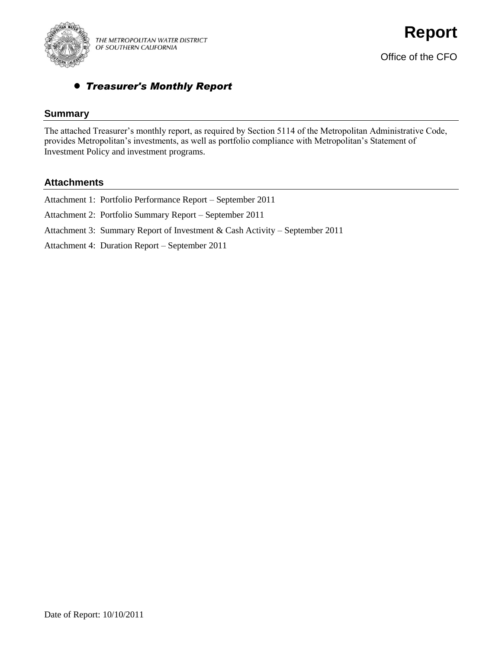

# *Treasurer's Monthly Report*

## **Summary**

The attached Treasurer's monthly report, as required by Section 5114 of the Metropolitan Administrative Code, provides Metropolitan's investments, as well as portfolio compliance with Metropolitan's Statement of Investment Policy and investment programs.

## **Attachments**

| Attachment 1: Portfolio Performance Report – September 2011                 |
|-----------------------------------------------------------------------------|
| Attachment 2: Portfolio Summary Report – September 2011                     |
| Attachment 3: Summary Report of Investment & Cash Activity – September 2011 |
| Attachment 4: Duration Report – September 2011                              |
|                                                                             |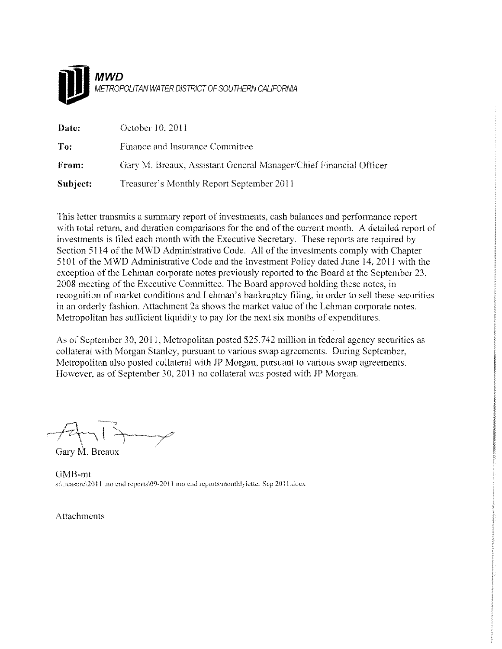

| Date:    | October 10, 2011                                                  |
|----------|-------------------------------------------------------------------|
| To:      | Finance and Insurance Committee                                   |
| From:    | Gary M. Breaux, Assistant General Manager/Chief Financial Officer |
| Subject: | Treasurer's Monthly Report September 2011                         |

This letter transmits a summary report of investments, cash balances and performance report with total return, and duration comparisons for the end of the current month. A detailed report of investments is filed each month with the Executive Secretary. These reports are required by Section 5114 of the MWD Administrative Code. All of the investments comply with Chapter 5101 of the MWD Administrative Code and the Investment Policy dated June 14, 2011 with the exception of the Lehman corporate notes previously reported to the Board at the September 23, 2008 meeting of the Executive Committee. The Board approved holding these notes, in recognition of market conditions and Lehman's bankruptcy filing, in order to sell these securities in an orderly fashion. Attachment 2a shows the market value of the Lehman corporate notes. Metropolitan has sufficient liquidity to pay for the next six months of expenditures.

As of September 30, 2011, Metropolitan posted \$25.742 million in federal agency securities as collateral with Morgan Stanley, pursuant to various swap agreements. During September, Metropolitan also posted collateral with JP Morgan, pursuant to various swap agreements. However, as of September 30, 2011 no collateral was posted with JP Morgan.

**このためですことになっているのです。それは、そのことに、そのことに、そのことに、そのことに、そのことに、そのことに、そのことに、そのことに、そのことに、そのことに、そのことに、そのことに、そのことに、** 

Gary M. Breaux

GMB-mt s:\treasure\2011 mo end reports\09-2011 mo end reports\monthlyletter Sep 2011.docx

**Attachments**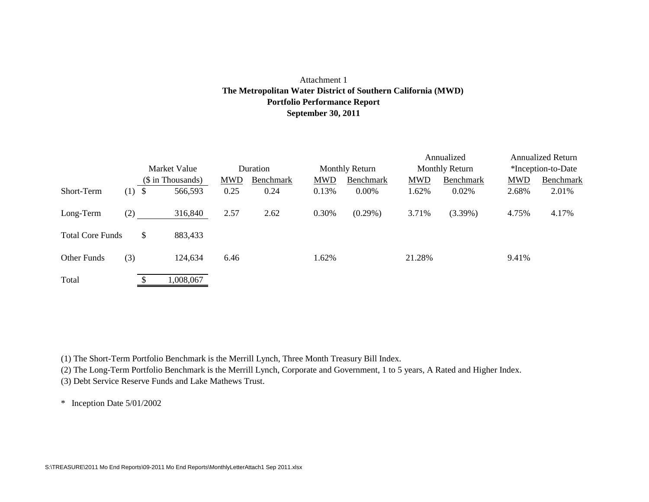### Attachment 1 **Portfolio Performance Report September 30, 2011 The Metropolitan Water District of Southern California (MWD)**

|                         |     | Market Value |                   |            |           |            |                       |            | Annualized            | <b>Annualized Return</b> |           |  |  |
|-------------------------|-----|--------------|-------------------|------------|-----------|------------|-----------------------|------------|-----------------------|--------------------------|-----------|--|--|
|                         |     |              |                   | Duration   |           |            | <b>Monthly Return</b> |            | <b>Monthly Return</b> | *Inception-to-Date       |           |  |  |
|                         |     |              | (\$ in Thousands) | <b>MWD</b> | Benchmark | <b>MWD</b> | Benchmark             | <b>MWD</b> | Benchmark             | <b>MWD</b>               | Benchmark |  |  |
| Short-Term              | (1) | \$           | 566,593           | 0.25       | 0.24      | 0.13%      | 0.00%                 | 1.62%      | 0.02%                 | 2.68%                    | 2.01%     |  |  |
| Long-Term               | (2) |              | 316,840           | 2.57       | 2.62      | 0.30%      | $(0.29\%)$            | 3.71%      | $(3.39\%)$            | 4.75%                    | 4.17%     |  |  |
| <b>Total Core Funds</b> |     | \$           | 883,433           |            |           |            |                       |            |                       |                          |           |  |  |
| Other Funds             | (3) |              | 124,634           | 6.46       |           | 1.62%      |                       | 21.28%     |                       | 9.41%                    |           |  |  |
| Total                   |     |              | 1,008,067         |            |           |            |                       |            |                       |                          |           |  |  |

(1) The Short-Term Portfolio Benchmark is the Merrill Lynch, Three Month Treasury Bill Index.

(2) The Long-Term Portfolio Benchmark is the Merrill Lynch, Corporate and Government, 1 to 5 years, A Rated and Higher Index.

(3) Debt Service Reserve Funds and Lake Mathews Trust.

\* Inception Date 5/01/2002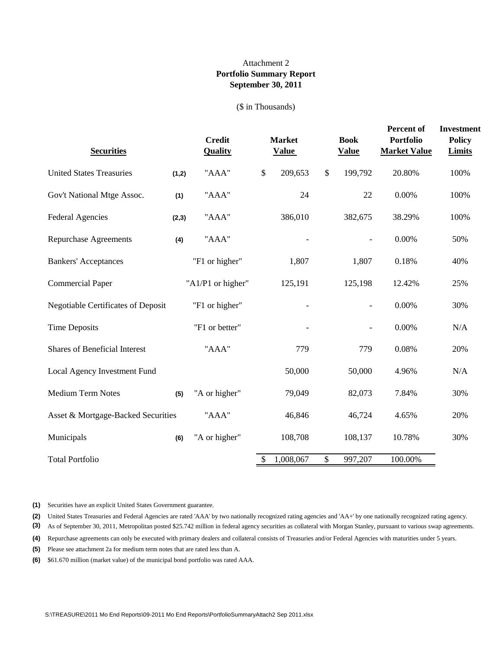### **Portfolio Summary Report September 30, 2011** Attachment 2

#### (\$ in Thousands)

| <b>Securities</b>                         |       | <b>Credit</b><br><b>Quality</b> | <b>Market</b><br><b>Value</b> |                           | <b>Book</b><br><b>Value</b> | Percent of<br><b>Portfolio</b><br><b>Market Value</b> | <b>Investment</b><br><b>Policy</b><br><b>Limits</b> |
|-------------------------------------------|-------|---------------------------------|-------------------------------|---------------------------|-----------------------------|-------------------------------------------------------|-----------------------------------------------------|
| <b>United States Treasuries</b>           | (1,2) | "AAA"                           | \$<br>209,653                 | $\boldsymbol{\mathsf{S}}$ | 199,792                     | 20.80%                                                | 100%                                                |
| Gov't National Mtge Assoc.                | (1)   | "AAA"                           | 24                            |                           | 22                          | 0.00%                                                 | 100%                                                |
| <b>Federal Agencies</b>                   | (2,3) | "AAA"                           | 386,010                       |                           | 382,675                     | 38.29%                                                | 100%                                                |
| <b>Repurchase Agreements</b>              | (4)   | "AAA"                           |                               |                           |                             | 0.00%                                                 | 50%                                                 |
| <b>Bankers' Acceptances</b>               |       | "F1 or higher"                  | 1,807                         |                           | 1,807                       | 0.18%                                                 | 40%                                                 |
| <b>Commercial Paper</b>                   |       | "A1/P1 or higher"               | 125,191                       |                           | 125,198                     | 12.42%                                                | 25%                                                 |
| <b>Negotiable Certificates of Deposit</b> |       | "F1 or higher"                  |                               |                           | $\overline{\phantom{0}}$    | 0.00%                                                 | 30%                                                 |
| <b>Time Deposits</b>                      |       | "F1 or better"                  |                               |                           |                             | $0.00\%$                                              | $\rm N/A$                                           |
| <b>Shares of Beneficial Interest</b>      |       | "AAA"                           | 779                           |                           | 779                         | 0.08%                                                 | 20%                                                 |
| Local Agency Investment Fund              |       |                                 | 50,000                        |                           | 50,000                      | 4.96%                                                 | $\rm N/A$                                           |
| <b>Medium Term Notes</b>                  | (5)   | "A or higher"                   | 79,049                        |                           | 82,073                      | 7.84%                                                 | 30%                                                 |
| Asset & Mortgage-Backed Securities        |       | "AAA"                           | 46,846                        |                           | 46,724                      | 4.65%                                                 | 20%                                                 |
| Municipals                                | (6)   | "A or higher"                   | 108,708                       |                           | 108,137                     | 10.78%                                                | 30%                                                 |
| <b>Total Portfolio</b>                    |       |                                 | \$<br>1,008,067               | $\$$                      | 997,207                     | 100.00%                                               |                                                     |

**(1)** Securities have an explicit United States Government guarantee.

**(2)** United States Treasuries and Federal Agencies are rated 'AAA' by two nationally recognized rating agencies and 'AA+' by one nationally recognized rating agency.

**(3)** As of September 30, 2011, Metropolitan posted \$25.742 million in federal agency securities as collateral with Morgan Stanley, pursuant to various swap agreements.

**(4)** Repurchase agreements can only be executed with primary dealers and collateral consists of Treasuries and/or Federal Agencies with maturities under 5 years.

**(5)** Please see attachment 2a for medium term notes that are rated less than A.

**(6)** \$61.670 million (market value) of the municipal bond portfolio was rated AAA.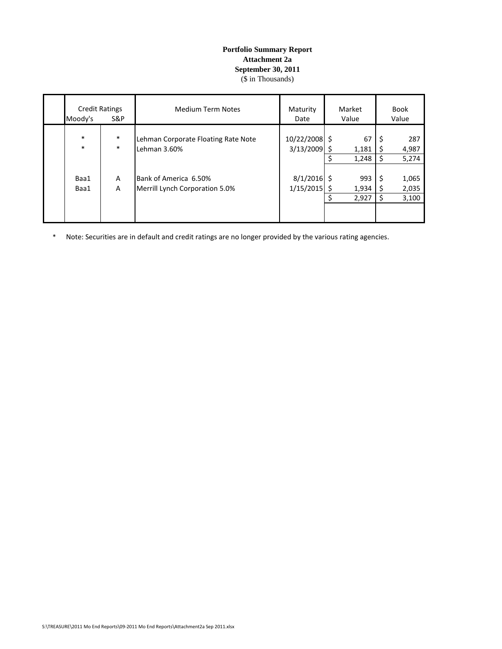#### **Portfolio Summary Report Attachment 2a September 30, 2011** (\$ in Thousands)

| <b>Credit Ratings</b><br>Moody's<br>S&P |                  | <b>Medium Term Notes</b>                                | Maturity<br>Date           |          | Market<br>Value       |                | <b>Book</b><br>Value    |  |
|-----------------------------------------|------------------|---------------------------------------------------------|----------------------------|----------|-----------------------|----------------|-------------------------|--|
| $\ast$<br>$\ast$                        | $\ast$<br>$\ast$ | Lehman Corporate Floating Rate Note<br>Lehman 3.60%     | 10/22/2008 \$<br>3/13/2009 | Ś<br>Ś   | 67<br>1,181<br>1,248  | \$.<br>Ś<br>\$ | 287<br>4,987<br>5,274   |  |
| Baa1<br>Baa1                            | A<br>A           | Bank of America 6.50%<br>Merrill Lynch Corporation 5.0% | $8/1/2016$ \$<br>1/15/2015 | \$<br>Ś. | 993<br>1,934<br>2,927 | \$<br>S<br>Ś   | 1,065<br>2,035<br>3,100 |  |

\* Note: Securities are in default and credit ratings are no longer provided by the various rating agencies.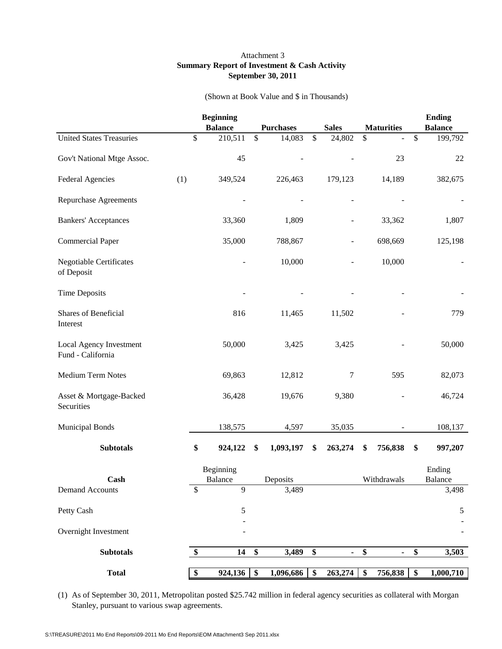### Attachment 3 **Summary Report of Investment & Cash Activity September 30, 2011**

#### (Shown at Book Value and \$ in Thousands)

|                                              |     | <b>Beginning</b><br><b>Balance</b> | <b>Purchases</b>  |               | <b>Sales</b> |                 | <b>Maturities</b> | <b>Ending</b><br><b>Balance</b> |
|----------------------------------------------|-----|------------------------------------|-------------------|---------------|--------------|-----------------|-------------------|---------------------------------|
| <b>United States Treasuries</b>              | \$  | 210,511                            | \$<br>14,083      | $\mathcal{S}$ | 24,802       | \$              |                   | \$<br>199,792                   |
|                                              |     |                                    |                   |               |              |                 |                   |                                 |
| Gov't National Mtge Assoc.                   |     | 45                                 |                   |               |              |                 | 23                | $22\,$                          |
| <b>Federal Agencies</b>                      | (1) | 349,524                            | 226,463           |               | 179,123      |                 | 14,189            | 382,675                         |
| <b>Repurchase Agreements</b>                 |     |                                    |                   |               |              |                 |                   |                                 |
| <b>Bankers' Acceptances</b>                  |     | 33,360                             | 1,809             |               |              |                 | 33,362            | 1,807                           |
| <b>Commercial Paper</b>                      |     | 35,000                             | 788,867           |               |              |                 | 698,669           | 125,198                         |
| <b>Negotiable Certificates</b><br>of Deposit |     |                                    | 10,000            |               |              |                 | 10,000            |                                 |
| <b>Time Deposits</b>                         |     |                                    |                   |               |              |                 |                   |                                 |
| Shares of Beneficial<br>Interest             |     | 816                                | 11,465            |               | 11,502       |                 |                   | 779                             |
| Local Agency Investment<br>Fund - California |     | 50,000                             | 3,425             |               | 3,425        |                 |                   | 50,000                          |
| Medium Term Notes                            |     | 69,863                             | 12,812            |               | 7            |                 | 595               | 82,073                          |
| Asset & Mortgage-Backed<br>Securities        |     | 36,428                             | 19,676            |               | 9,380        |                 |                   | 46,724                          |
| <b>Municipal Bonds</b>                       |     | 138,575                            | 4,597             |               | 35,035       |                 |                   | 108,137                         |
| <b>Subtotals</b>                             | \$  | 924,122                            | \$<br>1,093,197   | \$            | 263,274      | \$              | 756,838           | \$<br>997,207                   |
|                                              |     | Beginning                          |                   |               |              |                 |                   | Ending                          |
| Cash<br><b>Demand Accounts</b>               | \$  | Balance<br>9                       | Deposits<br>3,489 |               |              |                 | Withdrawals       | <b>Balance</b><br>3,498         |
|                                              |     |                                    |                   |               |              |                 |                   |                                 |
| Petty Cash                                   |     | 5                                  |                   |               |              |                 |                   | 5                               |
| Overnight Investment                         |     |                                    |                   |               |              |                 |                   |                                 |
| <b>Subtotals</b>                             | \$  | 14                                 | \$<br>3,489       | \$            | ٠            | \$              | $\blacksquare$    | \$<br>3,503                     |
| <b>Total</b>                                 | \$  | 924,136                            | \$<br>1,096,686   | \$            | 263,274      | $\overline{\$}$ | 756,838           | \$<br>1,000,710                 |

(1) As of September 30, 2011, Metropolitan posted \$25.742 million in federal agency securities as collateral with Morgan Stanley, pursuant to various swap agreements.